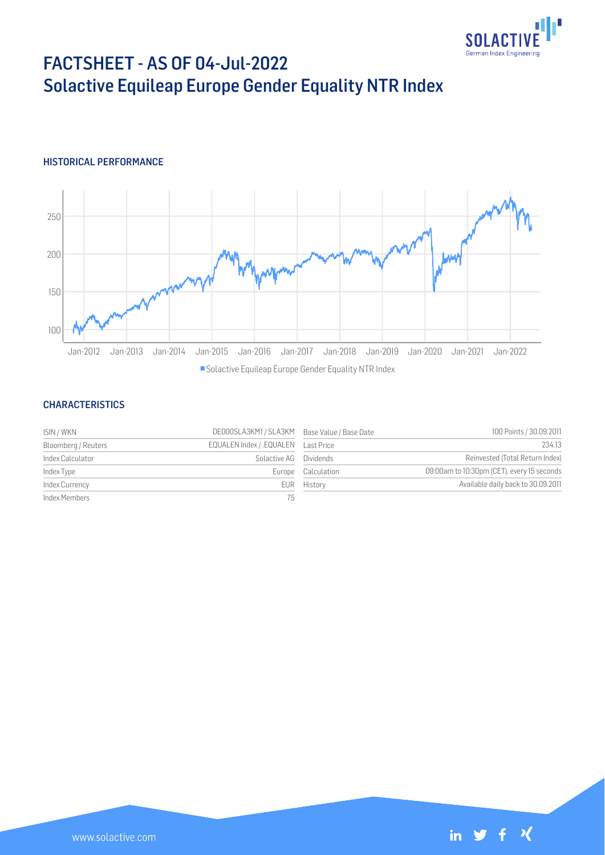

# FACTSHEET - AS OF 04-Jul-2022 Solactive Equileap Europe Gender Equality NTR Index

# HISTORICAL PERFORMANCE



### **CHARACTERISTICS**

| ISIN / WKN          | DE000SLA3KM1 / SLA3KM Base Value / Base Date |                    | 100 Points / 30.09.2011                    |
|---------------------|----------------------------------------------|--------------------|--------------------------------------------|
| Bloomberg / Reuters | EQUALEN Index / .EQUALEN Last Price          |                    | 234.13                                     |
| Index Calculator    | Solactive AG Dividends                       |                    | Reinvested (Total Return Index)            |
| Index Type          |                                              | Europe Calculation | 09:00am to 10:30pm (CET), every 15 seconds |
| Index Currency      |                                              | EUR History        | Available daily back to 30.09.2011         |
| Index Members       | 75                                           |                    |                                            |

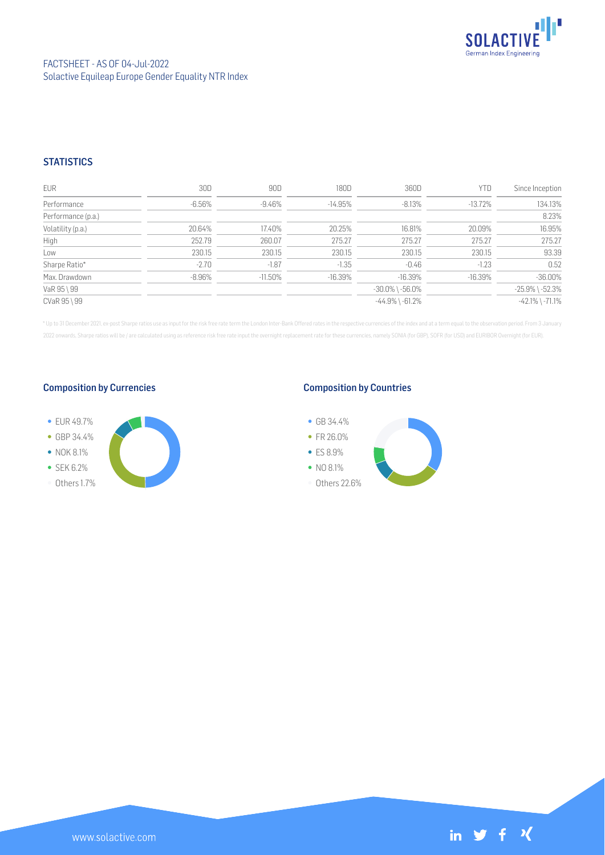

# **STATISTICS**

| <b>EUR</b>         | 30D      | 90D        | 180D      | 360D                  | YTD        | Since Inception       |
|--------------------|----------|------------|-----------|-----------------------|------------|-----------------------|
| Performance        | $-6.56%$ | $-9.46\%$  | $-14.95%$ | $-8.13%$              | $-13.72%$  | 134.13%               |
| Performance (p.a.) |          |            |           |                       |            | 8.23%                 |
| Volatility (p.a.)  | 20.64%   | 17.40%     | 20.25%    | 16.81%                | 20.09%     | 16.95%                |
| High               | 252.79   | 260.07     | 275.27    | 275.27                | 275.27     | 275.27                |
| Low                | 230.15   | 230.15     | 230.15    | 230.15                | 230.15     | 93.39                 |
| Sharpe Ratio*      | $-2.70$  | $-1.87$    | $-1.35$   | -0.46                 | $-1.23$    | 0.52                  |
| Max. Drawdown      | $-8.96%$ | $-11.50\%$ | $-16.39%$ | $-16.39%$             | $-16.39\%$ | $-36.00%$             |
| VaR 95 \ 99        |          |            |           | $-30.0\%$ \ $-56.0\%$ |            | $-25.9\%$ \ $-52.3\%$ |
| CVaR 95 \ 99       |          |            |           | $-44.9\%$ \ $-61.2\%$ |            | $-42.1\%$ \ $-71.1\%$ |

\* Up to 31 December 2021, ex-post Sharpe ratios use as input for the risk free rate term the London Inter-Bank Offered rates in the respective currencies of the index and at a term equal to the observation period. From 3 J 2022 onwards, Sharpe ratios will be / are calculated using as reference risk free rate input the overnight replacement rate for these currencies, namely SONIA (for GBP), SOFR (for USD) and EURIBOR Overnight (for EUR).

## Composition by Currencies



## Composition by Countries

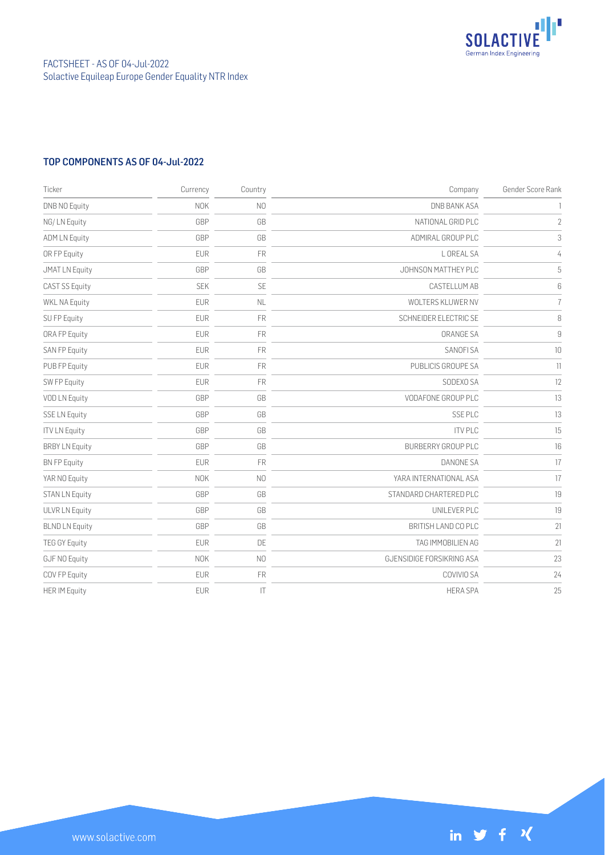

# TOP COMPONENTS AS OF 04-Jul-2022

| Ticker                | Currency   | Country        | Company                   | Gender Score Rank      |
|-----------------------|------------|----------------|---------------------------|------------------------|
| <b>DNB NO Equity</b>  | <b>NOK</b> | N <sub>0</sub> | <b>DNB BANK ASA</b>       |                        |
| NG/LN Equity          | GBP        | GB             | NATIONAL GRID PLC         | $\sqrt{2}$             |
| <b>ADM LN Equity</b>  | GBP        | GB             | ADMIRAL GROUP PLC         | $\,3$                  |
| OR FP Equity          | <b>EUR</b> | FR             | L OREAL SA                | 4                      |
| <b>JMAT LN Equity</b> | GBP        | GB             | JOHNSON MATTHEY PLC       | $\mathsf S$            |
| CAST SS Equity        | <b>SEK</b> | SE             | <b>CASTELLUM AB</b>       | 6                      |
| <b>WKL NA Equity</b>  | <b>EUR</b> | NL             | WOLTERS KLUWER NV         | $\overline{1}$         |
| SU FP Equity          | <b>EUR</b> | <b>FR</b>      | SCHNEIDER ELECTRIC SE     | $\, 8$                 |
| ORA FP Equity         | <b>EUR</b> | FR             | ORANGE SA                 | $\mathrel{\mathsf{g}}$ |
| <b>SAN FP Equity</b>  | <b>EUR</b> | <b>FR</b>      | SANOFI SA                 | 10                     |
| PUB FP Equity         | <b>EUR</b> | <b>FR</b>      | PUBLICIS GROUPE SA        | 11                     |
| SW FP Equity          | <b>EUR</b> | <b>FR</b>      | SODEXO SA                 | 12                     |
| VOD LN Equity         | GBP        | GB             | VODAFONE GROUP PLC        | 13                     |
| <b>SSE LN Equity</b>  | GBP        | GB             | <b>SSEPLC</b>             | 13                     |
| <b>ITV LN Equity</b>  | GBP        | GB             | <b>ITV PLC</b>            | 15                     |
| <b>BRBY LN Equity</b> | GBP        | GB             | <b>BURBERRY GROUP PLC</b> | 16                     |
| <b>BN FP Equity</b>   | <b>EUR</b> | <b>FR</b>      | DANONE SA                 | 17                     |
| YAR NO Equity         | <b>NOK</b> | N <sub>0</sub> | YARA INTERNATIONAL ASA    | 17                     |
| <b>STAN LN Equity</b> | GBP        | GB             | STANDARD CHARTERED PLC    | 19                     |
| <b>ULVR LN Equity</b> | GBP        | GB             | UNILEVER PLC              | 19                     |
| <b>BLND LN Equity</b> | GBP        | GB             | BRITISH LAND CO PLC       | 21                     |
| <b>TEG GY Equity</b>  | EUR        | DE             | TAG IMMOBILIEN AG         | 21                     |
| GJF NO Equity         | <b>NOK</b> | N <sub>O</sub> | GJENSIDIGE FORSIKRING ASA | 23                     |
| COV FP Equity         | <b>EUR</b> | <b>FR</b>      | COVIVIO SA                | 24                     |
| <b>HER IM Equity</b>  | <b>EUR</b> | T              | <b>HERA SPA</b>           | 25                     |